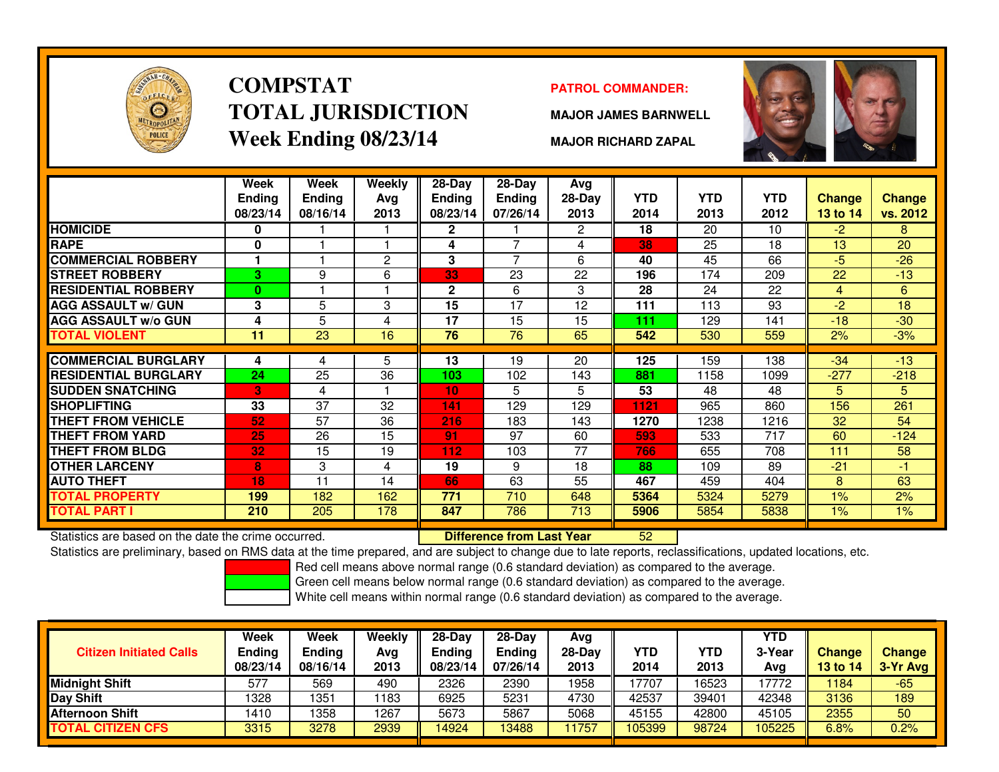

# **COMPSTATTOTAL JURISDICTIONWeek Ending 08/23/14**

### **PATROL COMMANDER:**

**MAJOR JAMES BARNWELL**



**MAJOR RICHARD ZAPAL**

|                             | Week<br><b>Ending</b><br>08/23/14 | Week<br><b>Ending</b><br>08/16/14 | <b>Weekly</b><br>Avg<br>2013 | $28-Day$<br>Ending<br>08/23/14 | $28-Day$<br><b>Ending</b><br>07/26/14 | Avg<br>28-Day<br>2013 | <b>YTD</b><br>2014 | <b>YTD</b><br>2013 | <b>YTD</b><br>2012 | Change<br>13 to 14 | <b>Change</b><br>vs. 2012 |
|-----------------------------|-----------------------------------|-----------------------------------|------------------------------|--------------------------------|---------------------------------------|-----------------------|--------------------|--------------------|--------------------|--------------------|---------------------------|
| <b>HOMICIDE</b>             | 0                                 |                                   |                              | $\mathbf{2}$                   |                                       | $\mathbf{2}^{\circ}$  | 18                 | 20                 | 10                 | $-2$               | 8                         |
| <b>RAPE</b>                 | 0                                 |                                   |                              | 4                              | 7                                     | 4                     | 38                 | 25                 | 18                 | 13                 | 20                        |
| <b>COMMERCIAL ROBBERY</b>   | 1                                 |                                   | $\mathbf{2}$                 | 3                              | $\overline{7}$                        | 6                     | 40                 | 45                 | 66                 | -5                 | $-26$                     |
| <b>STREET ROBBERY</b>       | 3                                 | 9                                 | 6                            | 33                             | 23                                    | 22                    | 196                | 174                | 209                | 22                 | $-13$                     |
| <b>RESIDENTIAL ROBBERY</b>  | $\bf{0}$                          |                                   |                              | $\mathbf{2}$                   | 6                                     | 3                     | 28                 | 24                 | 22                 | 4                  | 6                         |
| <b>AGG ASSAULT w/ GUN</b>   | 3                                 | 5                                 | 3                            | 15                             | 17                                    | 12                    | 111                | 113                | 93                 | $-2$               | 18                        |
| <b>AGG ASSAULT w/o GUN</b>  | 4                                 | 5                                 | 4                            | 17                             | 15                                    | 15                    | 111                | 129                | 141                | $-18$              | $-30$                     |
| <b>TOTAL VIOLENT</b>        | 11                                | 23                                | 16                           | 76                             | 76                                    | 65                    | 542                | 530                | 559                | 2%                 | $-3%$                     |
|                             |                                   |                                   |                              |                                |                                       |                       |                    |                    |                    |                    |                           |
| <b>COMMERCIAL BURGLARY</b>  | 4                                 | 4                                 | 5                            | 13                             | 19                                    | 20                    | 125                | 159                | 138                | $-34$              | $-13$                     |
| <b>RESIDENTIAL BURGLARY</b> | 24                                | 25                                | 36                           | 103                            | 102                                   | 143                   | 881                | 1158               | 1099               | $-277$             | $-218$                    |
| <b>SUDDEN SNATCHING</b>     | 3                                 | 4                                 |                              | 10 <sub>1</sub>                | 5                                     | 5                     | 53                 | 48                 | 48                 | 5                  | 5                         |
| <b>SHOPLIFTING</b>          | 33                                | 37                                | 32                           | 141                            | 129                                   | 129                   | 1121               | 965                | 860                | 156                | 261                       |
| THEFT FROM VEHICLE          | 52                                | 57                                | 36                           | 216                            | 183                                   | 143                   | 1270               | 1238               | 1216               | 32                 | 54                        |
| THEFT FROM YARD             | 25                                | 26                                | 15                           | 91                             | 97                                    | 60                    | 593                | 533                | 717                | 60                 | $-124$                    |
| THEFT FROM BLDG             | 32                                | 15                                | 19                           | 112                            | 103                                   | 77                    | 766                | 655                | 708                | 111                | 58                        |
| <b>OTHER LARCENY</b>        | 8                                 | 3                                 | 4                            | 19                             | 9                                     | 18                    | 88                 | 109                | 89                 | $-21$              | $-1$                      |
| <b>AUTO THEFT</b>           | 18                                | 11                                | 14                           | 66                             | 63                                    | 55                    | 467                | 459                | 404                | 8                  | 63                        |
| <b>TOTAL PROPERTY</b>       | 199                               | 182                               | 162                          | 771                            | 710                                   | 648                   | 5364               | 5324               | 5279               | $1\%$              | 2%                        |
| TOTAL PART I                | 210                               | 205                               | 178                          | 847                            | 786                                   | 713                   | 5906               | 5854               | 5838               | $1\%$              | 1%                        |

Statistics are based on the date the crime occurred. **Difference from Last Year** 

Statistics are based on the date the crime occurred. **[19] Luident Luiden Confference from Last Year No. 152 Lu**<br>Statistics are preliminary, based on RMS data at the time prepared, and are subject to change due to late rep

Red cell means above normal range (0.6 standard deviation) as compared to the average.

Green cell means below normal range (0.6 standard deviation) as compared to the average.

| <b>Citizen Initiated Calls</b> | <b>Week</b><br><b>Ending</b><br>08/23/14 | <b>Week</b><br><b>Ending</b><br>08/16/14 | Weekly<br>Ava<br>2013 | $28-Dav$<br><b>Ending</b><br>08/23/14 | $28-Dav$<br>Ending<br>07/26/14 | Avg<br>$28-Dav$<br>2013 | YTD<br>2014 | YTD<br>2013 | <b>YTD</b><br>3-Year<br>Avg | <b>Change</b><br><b>13 to 14</b> | <b>Change</b><br>3-Yr Avg |
|--------------------------------|------------------------------------------|------------------------------------------|-----------------------|---------------------------------------|--------------------------------|-------------------------|-------------|-------------|-----------------------------|----------------------------------|---------------------------|
| <b>Midnight Shift</b>          | 577                                      | 569                                      | 490                   | 2326                                  | 2390                           | 1958                    | 17707       | 16523       | 17772                       | 1184                             | $-65$                     |
| Day Shift                      | 1328                                     | 1351                                     | 1183                  | 6925                                  | 5231                           | 4730                    | 42537       | 39401       | 42348                       | 3136                             | 189                       |
| Afternoon Shift                | 1410                                     | 1358                                     | 1267                  | 5673                                  | 5867                           | 5068                    | 45155       | 42800       | 45105                       | 2355                             | 50                        |
| <b>TOTAL CITIZEN CFS</b>       | 3315                                     | 3278                                     | 2939                  | 14924                                 | 13488                          | 1757                    | 105399      | 98724       | 105225                      | 6.8%                             | $0.2\%$                   |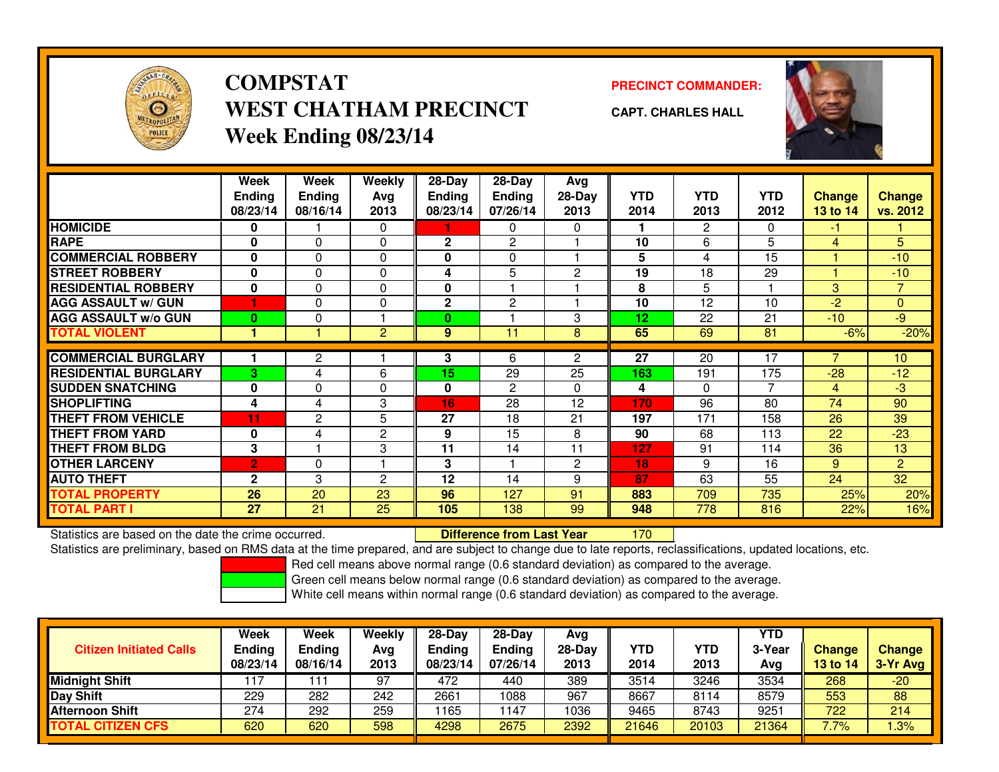

## **COMPSTATWEST CHATHAM PRECINCTWeek Ending 08/23/14**

**PRECINCT COMMANDER:**



**CAPT. CHARLES HALL**

|                             | Week<br><b>Ending</b><br>08/23/14 | Week<br><b>Ending</b><br>08/16/14 | Weekly<br>Avg<br>2013 | $28-Day$<br><b>Ending</b><br>08/23/14 | $28$ -Day<br><b>Ending</b><br>07/26/14 | Avg<br>$28-Day$<br>2013 | <b>YTD</b><br>2014 | <b>YTD</b><br>2013 | <b>YTD</b><br>2012 | <b>Change</b><br>13 to 14 | <b>Change</b><br>vs. 2012 |
|-----------------------------|-----------------------------------|-----------------------------------|-----------------------|---------------------------------------|----------------------------------------|-------------------------|--------------------|--------------------|--------------------|---------------------------|---------------------------|
| <b>HOMICIDE</b>             | 0                                 |                                   | 0                     |                                       | 0                                      | $\Omega$                |                    | 2                  | 0                  | -1                        |                           |
| <b>RAPE</b>                 | 0                                 | 0                                 | 0                     | $\mathbf{2}$                          | $\mathbf{2}$                           |                         | 10                 | 6                  | 5                  | 4                         | 5                         |
| <b>COMMERCIAL ROBBERY</b>   | 0                                 | $\mathbf{0}$                      | 0                     | 0                                     | 0                                      |                         | 5                  | 4                  | 15                 |                           | $-10$                     |
| <b>STREET ROBBERY</b>       | 0                                 | $\mathbf{0}$                      | 0                     | 4                                     | 5                                      | 2                       | 19                 | 18                 | 29                 |                           | $-10$                     |
| <b>RESIDENTIAL ROBBERY</b>  | 0                                 | 0                                 | 0                     | 0                                     |                                        |                         | 8                  | 5                  |                    | 3                         | 7                         |
| <b>AGG ASSAULT w/ GUN</b>   |                                   | $\mathbf{0}$                      | 0                     | $\mathbf{2}$                          | $\overline{2}$                         |                         | 10                 | 12                 | 10                 | $-2$                      | $\overline{0}$            |
| <b>AGG ASSAULT w/o GUN</b>  | 0                                 | $\Omega$                          |                       | 0                                     |                                        | 3                       | 12                 | 22                 | 21                 | $-10$                     | $-9$                      |
| <b>TOTAL VIOLENT</b>        |                                   |                                   | $\overline{2}$        | 9                                     | 11                                     | 8                       | 65                 | 69                 | 81                 | $-6%$                     | $-20%$                    |
|                             |                                   |                                   |                       |                                       |                                        |                         |                    |                    |                    |                           |                           |
| <b>COMMERCIAL BURGLARY</b>  |                                   | 2                                 |                       | 3                                     | 6                                      | $\overline{2}$          | 27                 | 20                 | 17                 |                           | 10                        |
| <b>RESIDENTIAL BURGLARY</b> | 3                                 | 4                                 | 6                     | 15                                    | 29                                     | 25                      | 163                | 191                | 175                | $-28$                     | $-12$                     |
| <b>SUDDEN SNATCHING</b>     | 0                                 | $\Omega$                          | 0                     | 0                                     | 2                                      | $\Omega$                | 4                  | $\Omega$           | 7                  | 4                         | $-3$                      |
| <b>SHOPLIFTING</b>          | 4                                 | 4                                 | 3                     | 16                                    | 28                                     | 12                      | 170                | 96                 | 80                 | 74                        | 90                        |
| <b>THEFT FROM VEHICLE</b>   | 11                                | $\overline{c}$                    | 5                     | 27                                    | 18                                     | 21                      | 197                | 171                | 158                | 26                        | 39                        |
| <b>THEFT FROM YARD</b>      | 0                                 | 4                                 | 2                     | 9                                     | 15                                     | 8                       | 90                 | 68                 | 113                | 22                        | $-23$                     |
| <b>THEFT FROM BLDG</b>      | 3                                 |                                   | 3                     | 11                                    | 14                                     | 11                      | 127                | 91                 | 114                | 36                        | 13                        |
| <b>OTHER LARCENY</b>        | $\overline{2}$                    | 0                                 |                       | 3                                     |                                        | $\overline{c}$          | 18                 | 9                  | 16                 | 9                         | $\overline{2}$            |
| <b>AUTO THEFT</b>           | $\mathbf{2}$                      | 3                                 | $\overline{c}$        | 12                                    | 14                                     | 9                       | 87                 | 63                 | 55                 | 24                        | 32                        |
| <b>TOTAL PROPERTY</b>       | 26                                | 20                                | 23                    | 96                                    | 127                                    | 91                      | 883                | 709                | 735                | 25%                       | 20%                       |
| <b>TOTAL PART I</b>         | 27                                | 21                                | 25                    | 105                                   | 138                                    | 99                      | 948                | 778                | 816                | 22%                       | 16%                       |

Statistics are based on the date the crime occurred. **Difference from Last Year** 

<sup>170</sup>

Statistics are preliminary, based on RMS data at the time prepared, and are subject to change due to late reports, reclassifications, updated locations, etc.

Red cell means above normal range (0.6 standard deviation) as compared to the average.

Green cell means below normal range (0.6 standard deviation) as compared to the average.

| <b>Citizen Initiated Calls</b> | Week<br>Ending<br>08/23/14 | Week<br><b>Ending</b><br>08/16/14 | Weekly<br>Avg<br>2013 | $28-Day$<br><b>Ending</b><br>08/23/14 | $28-Dav$<br><b>Ending</b><br>07/26/14 | Avg<br>28-Day<br>2013 | YTD<br>2014 | YTD<br>2013 | <b>YTD</b><br>3-Year<br>Avg | <b>Change</b><br>13 to 14 | <b>Change</b><br>3-Yr Avg |
|--------------------------------|----------------------------|-----------------------------------|-----------------------|---------------------------------------|---------------------------------------|-----------------------|-------------|-------------|-----------------------------|---------------------------|---------------------------|
| <b>Midnight Shift</b>          | 117                        |                                   | 97                    | 472                                   | 440                                   | 389                   | 3514        | 3246        | 3534                        | 268                       | $-20$                     |
| Day Shift                      | 229                        | 282                               | 242                   | 2661                                  | 1088                                  | 967                   | 8667        | 8114        | 8579                        | 553                       | 88                        |
| <b>Afternoon Shift</b>         | 274                        | 292                               | 259                   | 1165                                  | 147                                   | 1036                  | 9465        | 8743        | 9251                        | 722                       | 214                       |
| <b>TOTAL CITIZEN CFS</b>       | 620                        | 620                               | 598                   | 4298                                  | 2675                                  | 2392                  | 21646       | 20103       | 21364                       | 7.7%                      | .3%                       |

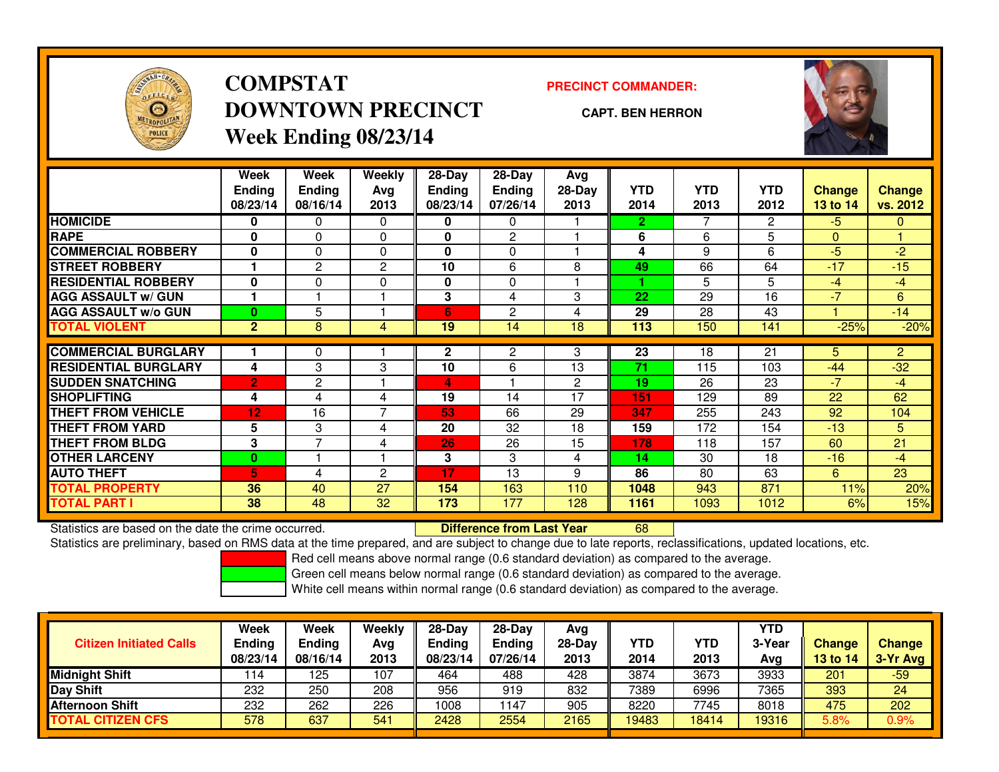

## **COMPSTATDOWNTOWN PRECINCTWeek Ending 08/23/14**

**PRECINCT COMMANDER:**

**CAPT. BEN HERRON**



|                             | Week<br><b>Ending</b><br>08/23/14 | Week<br><b>Ending</b><br>08/16/14 | <b>Weekly</b><br>Avg<br>2013 | $28-Day$<br><b>Ending</b><br>08/23/14 | $28$ -Day<br><b>Ending</b><br>07/26/14 | Avg<br>28-Day<br>2013 | <b>YTD</b><br>2014 | <b>YTD</b><br>2013 | <b>YTD</b><br>2012 | <b>Change</b><br>13 to 14 | <b>Change</b><br>vs. 2012 |
|-----------------------------|-----------------------------------|-----------------------------------|------------------------------|---------------------------------------|----------------------------------------|-----------------------|--------------------|--------------------|--------------------|---------------------------|---------------------------|
| <b>HOMICIDE</b>             | 0                                 | 0                                 | $\Omega$                     | 0                                     | 0                                      |                       | $\mathbf{2}$       |                    | $\overline{2}$     | $-5$                      | $\mathbf{0}$              |
| <b>RAPE</b>                 | 0                                 | 0                                 | $\Omega$                     | 0                                     | $\overline{2}$                         |                       | 6                  | 6                  | 5                  | $\mathbf{0}$              |                           |
| <b>COMMERCIAL ROBBERY</b>   | $\bf{0}$                          | 0                                 | 0                            | 0                                     | 0                                      |                       | 4                  | 9                  | 6                  | $-5$                      | $-2$                      |
| <b>STREET ROBBERY</b>       |                                   | 2                                 | $\overline{2}$               | 10                                    | 6                                      | 8                     | 49                 | 66                 | 64                 | $-17$                     | $-15$                     |
| <b>RESIDENTIAL ROBBERY</b>  | $\bf{0}$                          | 0                                 | 0                            | 0                                     | $\Omega$                               |                       | 4                  | 5.                 | 5                  | $-4$                      | $-4$                      |
| <b>AGG ASSAULT w/ GUN</b>   | 1                                 |                                   |                              | 3                                     | 4                                      | 3                     | 22                 | 29                 | 16                 | $-7$                      | 6                         |
| <b>AGG ASSAULT w/o GUN</b>  | $\bf{0}$                          | 5                                 |                              | 6                                     | 2                                      | 4                     | 29                 | 28                 | 43                 |                           | $-14$                     |
| <b>TOTAL VIOLENT</b>        | $\overline{2}$                    | 8                                 | 4                            | 19                                    | 14                                     | 18                    | 113                | 150                | 141                | $-25%$                    | $-20%$                    |
| <b>COMMERCIAL BURGLARY</b>  |                                   |                                   |                              |                                       |                                        |                       | 23                 | 18                 | 21                 |                           | $\overline{2}$            |
|                             |                                   | 0                                 |                              | $\mathbf{2}$                          | 2                                      | 3                     |                    |                    |                    | 5                         |                           |
| <b>RESIDENTIAL BURGLARY</b> | 4                                 | 3                                 | 3                            | 10                                    | 6                                      | 13                    | 71                 | 115                | 103                | $-44$                     | $-32$                     |
| <b>SUDDEN SNATCHING</b>     | $\overline{2}$                    | 2                                 |                              | 4                                     |                                        | $\mathbf{2}^{\prime}$ | 19                 | 26                 | 23                 | $-7$                      | $-4$                      |
| <b>SHOPLIFTING</b>          | 4                                 | 4                                 | 4                            | 19                                    | 14                                     | 17                    | 151                | 129                | 89                 | 22                        | 62                        |
| <b>THEFT FROM VEHICLE</b>   | 12                                | 16                                | 7                            | 53                                    | 66                                     | 29                    | 347                | 255                | 243                | 92                        | 104                       |
| <b>THEFT FROM YARD</b>      | 5                                 | 3                                 | 4                            | 20                                    | 32                                     | 18                    | 159                | 172                | 154                | $-13$                     | 5.                        |
| <b>THEFT FROM BLDG</b>      | 3                                 | $\overline{\phantom{a}}$          | 4                            | 26                                    | 26                                     | 15                    | 178                | 118                | 157                | 60                        | 21                        |
| <b>OTHER LARCENY</b>        | $\bf{0}$                          |                                   |                              | 3                                     | 3                                      | 4                     | 14                 | 30                 | 18                 | $-16$                     | $-4$                      |
| <b>AUTO THEFT</b>           | 5                                 | 4                                 | $\overline{c}$               | 17                                    | 13                                     | 9                     | 86                 | 80                 | 63                 | 6                         | 23                        |
| <b>TOTAL PROPERTY</b>       | 36                                | 40                                | 27                           | 154                                   | 163                                    | 110                   | 1048               | 943                | 871                | 11%                       | 20%                       |
| <b>TOTAL PART I</b>         | 38                                | 48                                | 32                           | 173                                   | 177                                    | 128                   | 1161               | 1093               | 1012               | 6%                        | 15%                       |

Statistics are based on the date the crime occurred. **Difference from Last Year** 

Statistics are based on the date the crime occurred. **Difference from Last Year hte Statistics** are based on the date time occurred.<br>Statistics are preliminary, based on RMS data at the time prepared, and are subject to ch

Red cell means above normal range (0.6 standard deviation) as compared to the average.

Green cell means below normal range (0.6 standard deviation) as compared to the average.

| <b>Citizen Initiated Calls</b> | Week<br><b>Ending</b><br>08/23/14 | Week<br><b>Ending</b><br>08/16/14 | Weekly<br>Avg<br>2013 | $28-Day$<br>Ending<br>08/23/14 | 28-Day<br><b>Ending</b><br>07/26/14 | Avg<br>$28-Dav$<br>2013 | <b>YTD</b><br>2014 | YTD<br>2013 | YTD<br>3-Year<br>Ava | <b>Change</b><br>13 to 14 | Change<br>3-Yr Avg |
|--------------------------------|-----------------------------------|-----------------------------------|-----------------------|--------------------------------|-------------------------------------|-------------------------|--------------------|-------------|----------------------|---------------------------|--------------------|
| Midnight Shift                 | 114                               | 125                               | 107                   | 464                            | 488                                 | 428                     | 3874               | 3673        | 3933                 | 201                       | $-59$              |
| Day Shift                      | 232                               | 250                               | 208                   | 956                            | 919                                 | 832                     | 7389               | 6996        | 7365                 | 393                       | 24                 |
| <b>Afternoon Shift</b>         | 232                               | 262                               | 226                   | 1008                           | 147                                 | 905                     | 8220               | 7745        | 8018                 | 475                       | 202                |
| <b>TOTAL CITIZEN CFS</b>       | 578                               | 637                               | 541                   | 2428                           | 2554                                | 2165                    | 19483              | 18414       | 19316                | 5.8%                      | 0.9%               |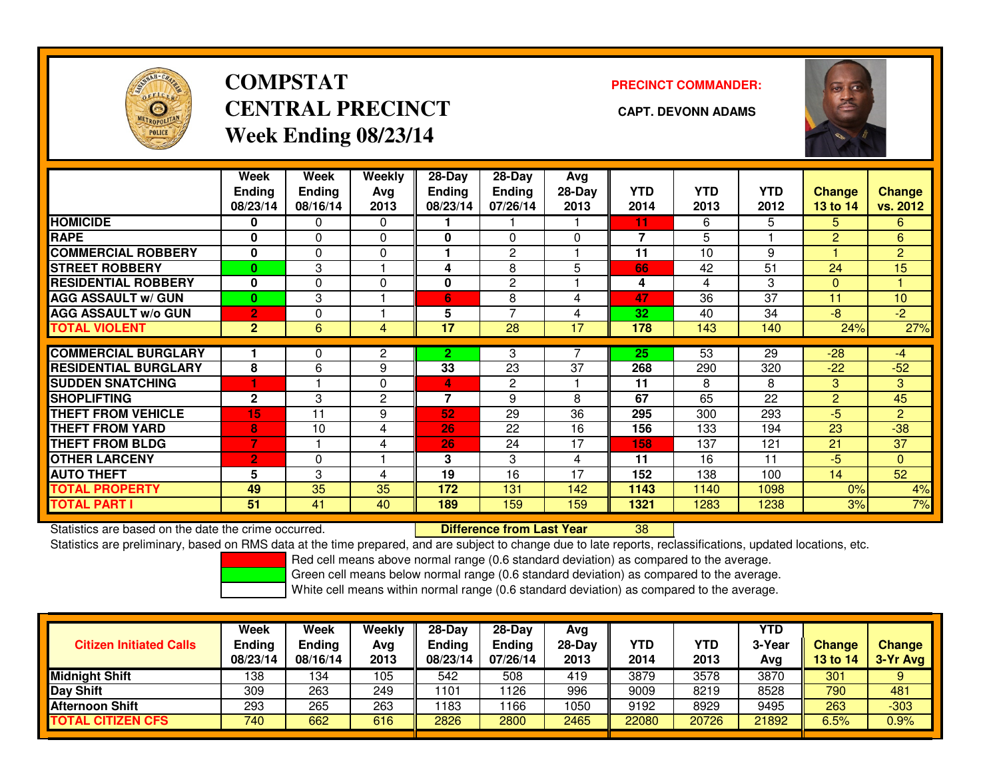

## **COMPSTATCENTRAL PRECINCT CAPT. DEVONN ADAMSWeek Ending 08/23/14**

**PRECINCT COMMANDER:**



|                             | Week<br><b>Ending</b><br>08/23/14 | Week<br>Ending<br>08/16/14 | <b>Weekly</b><br>Avg<br>2013 | 28-Day<br><b>Ending</b><br>08/23/14 | $28$ -Day<br><b>Ending</b><br>07/26/14 | Avg<br>28-Day<br>2013 | <b>YTD</b><br>2014       | <b>YTD</b><br>2013 | <b>YTD</b><br>2012 | <b>Change</b><br>13 to 14 | <b>Change</b><br>vs. 2012 |
|-----------------------------|-----------------------------------|----------------------------|------------------------------|-------------------------------------|----------------------------------------|-----------------------|--------------------------|--------------------|--------------------|---------------------------|---------------------------|
| <b>HOMICIDE</b>             | 0                                 | 0                          | $\Omega$                     |                                     |                                        |                       | 11                       | 6.                 | 5                  | 5                         | 6                         |
| <b>RAPE</b>                 | 0                                 | 0                          | $\Omega$                     | 0                                   | 0                                      | $\Omega$              | $\overline{\phantom{a}}$ | 5                  |                    | $\overline{2}$            | 6                         |
| <b>COMMERCIAL ROBBERY</b>   | $\mathbf{0}$                      | 0                          | $\Omega$                     |                                     | $\overline{2}$                         |                       | 11                       | 10                 | 9                  |                           | $\overline{2}$            |
| <b>STREET ROBBERY</b>       | $\bf{0}$                          | 3                          |                              | 4                                   | 8                                      | 5                     | 66                       | 42                 | 51                 | 24                        | 15                        |
| <b>RESIDENTIAL ROBBERY</b>  | 0                                 | 0                          | $\Omega$                     | 0                                   | 2                                      |                       | 4                        | 4                  | 3                  | $\mathbf{0}$              |                           |
| <b>AGG ASSAULT w/ GUN</b>   | $\mathbf{0}$                      | 3                          |                              | 6                                   | 8                                      | 4                     | 47                       | 36                 | 37                 | 11                        | 10                        |
| <b>AGG ASSAULT w/o GUN</b>  | $\overline{2}$                    | 0                          |                              | 5                                   | $\overline{7}$                         | 4                     | 32                       | 40                 | 34                 | $-8$                      | $-2$                      |
| <b>TOTAL VIOLENT</b>        | $\overline{2}$                    | 6                          | 4                            | 17                                  | 28                                     | 17                    | 178                      | 143                | 140                | 24%                       | 27%                       |
| <b>COMMERCIAL BURGLARY</b>  |                                   | 0                          | 2                            | $\overline{2}$                      | 3                                      |                       | 25                       | 53                 | 29                 | $-28$                     | -4                        |
| <b>RESIDENTIAL BURGLARY</b> | 8                                 |                            |                              | 33                                  |                                        | 37                    |                          |                    |                    | $-22$                     | $-52$                     |
|                             |                                   | 6                          | 9                            |                                     | 23                                     |                       | 268                      | 290                | 320                |                           |                           |
| <b>ISUDDEN SNATCHING</b>    |                                   |                            | $\Omega$                     | 4                                   | 2                                      |                       | 11                       | 8                  | 8                  | 3                         | 3                         |
| <b>SHOPLIFTING</b>          | $\mathbf{2}$                      | 3                          | $\overline{c}$               | 7                                   | 9                                      | 8                     | 67                       | 65                 | 22                 | 2                         | 45                        |
| <b>THEFT FROM VEHICLE</b>   | 15                                | 11                         | 9                            | 52                                  | 29                                     | 36                    | 295                      | 300                | 293                | $-5$                      | $\overline{2}$            |
| <b>THEFT FROM YARD</b>      | 8                                 | 10                         | 4                            | 26                                  | 22                                     | 16                    | 156                      | 133                | 194                | 23                        | $-38$                     |
| <b>THEFT FROM BLDG</b>      | 7                                 |                            | 4                            | 26                                  | 24                                     | 17                    | 158                      | 137                | 121                | 21                        | 37                        |
| <b>OTHER LARCENY</b>        | $\overline{2}$                    | 0                          |                              | 3                                   | 3                                      | 4                     | 11                       | 16                 | 11                 | $-5$                      | $\Omega$                  |
| <b>AUTO THEFT</b>           | 5                                 | 3                          | 4                            | 19                                  | 16                                     | 17                    | 152                      | 138                | 100                | 14                        | 52                        |
| <b>TOTAL PROPERTY</b>       | 49                                | 35                         | 35                           | 172                                 | 131                                    | 142                   | 1143                     | 1140               | 1098               | 0%                        | 4%                        |
| <b>TOTAL PART I</b>         | 51                                | 41                         | 40                           | 189                                 | 159                                    | 159                   | 1321                     | 1283               | 1238               | 3%                        | 7%                        |

Statistics are based on the date the crime occurred. **Difference from Last Year** 

Statistics are based on the date the crime occurred. **Difference from Last Year Net archicle Statistics** are based on the date trime occurred.<br>Statistics are preliminary, based on RMS data at the time prepared, and are sub

Red cell means above normal range (0.6 standard deviation) as compared to the average.

Green cell means below normal range (0.6 standard deviation) as compared to the average.

| <b>Citizen Initiated Calls</b> | Week<br><b>Ending</b><br>08/23/14 | Week<br><b>Ending</b><br>08/16/14 | Weekly<br>Avg<br>2013 | $28-Day$<br><b>Ending</b><br>08/23/14 | $28$ -Dav<br><b>Ending</b><br>07/26/14 | Avg<br>28-Day<br>2013 | YTD<br>2014 | YTD<br>2013 | <b>YTD</b><br>3-Year<br>Avg | <b>Change</b><br>13 to 14 | <b>Change</b><br>3-Yr Avg |
|--------------------------------|-----------------------------------|-----------------------------------|-----------------------|---------------------------------------|----------------------------------------|-----------------------|-------------|-------------|-----------------------------|---------------------------|---------------------------|
| <b>Midnight Shift</b>          | 138                               | 134                               | 105                   | 542                                   | 508                                    | 419                   | 3879        | 3578        | 3870                        | 301                       |                           |
| Day Shift                      | 309                               | 263                               | 249                   | 1101                                  | 126                                    | 996                   | 9009        | 8219        | 8528                        | 790                       | 481                       |
| <b>Afternoon Shift</b>         | 293                               | 265                               | 263                   | 1183                                  | 166                                    | 1050                  | 9192        | 8929        | 9495                        | 263                       | $-303$                    |
| <b>TOTAL CITIZEN CFS</b>       | 740                               | 662                               | 616                   | 2826                                  | 2800                                   | 2465                  | 22080       | 20726       | 21892                       | 6.5%                      | 0.9%                      |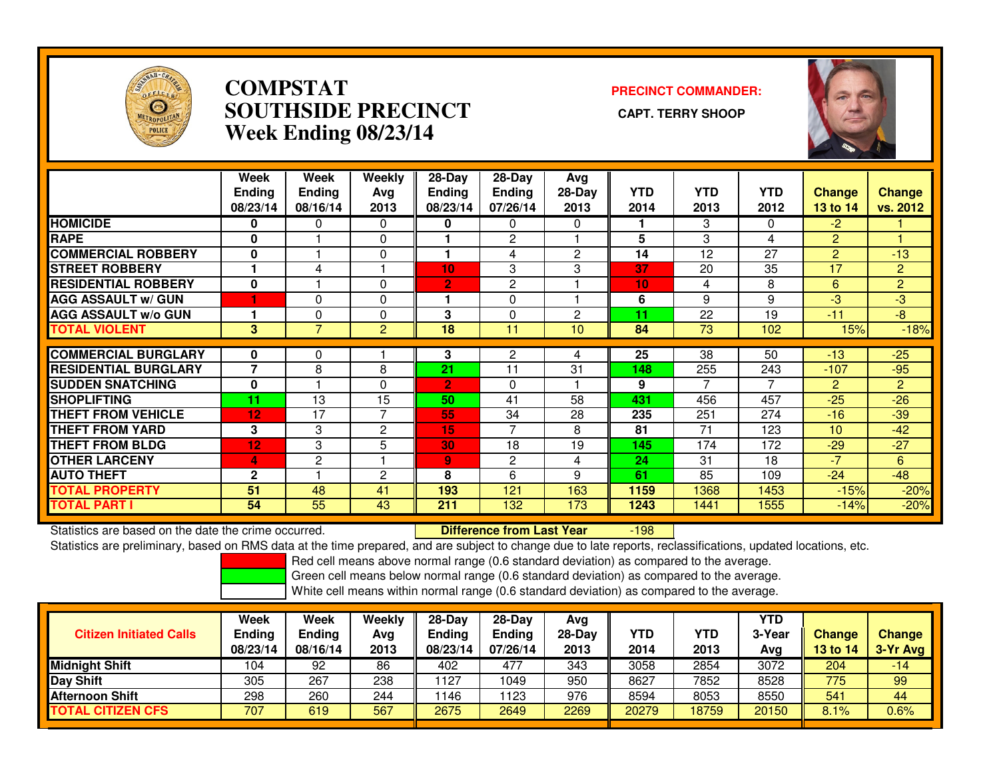

## **COMPSTAT PRECINCT COMMANDER: SOUTHSIDE PRECINCT CAPT. TERRY SHOOPWeek Ending 08/23/14**



|                             | Week<br><b>Ending</b><br>08/23/14 | Week<br><b>Ending</b><br>08/16/14 | Weekly<br>Ava<br>2013 | 28-Day<br><b>Ending</b><br>08/23/14 | $28-Day$<br><b>Ending</b><br>07/26/14 | Avg<br>28-Day<br>2013 | <b>YTD</b><br>2014 | <b>YTD</b><br>2013 | <b>YTD</b><br>2012 | <b>Change</b><br><b>13 to 14</b> | <b>Change</b><br>vs. 2012 |
|-----------------------------|-----------------------------------|-----------------------------------|-----------------------|-------------------------------------|---------------------------------------|-----------------------|--------------------|--------------------|--------------------|----------------------------------|---------------------------|
| <b>HOMICIDE</b>             | 0                                 | 0                                 | $\Omega$              | 0                                   | $\Omega$                              | $\Omega$              |                    | 3                  | 0                  | $-2$                             |                           |
| <b>RAPE</b>                 | 0                                 |                                   | 0                     |                                     | $\mathbf{2}$                          |                       | 5                  | 3                  | 4                  | $\overline{2}$                   |                           |
| <b>COMMERCIAL ROBBERY</b>   | $\bf{0}$                          |                                   | $\Omega$              | н                                   | 4                                     | $\mathbf{2}$          | 14                 | 12                 | 27                 | $\overline{2}$                   | $-13$                     |
| <b>STREET ROBBERY</b>       |                                   | 4                                 |                       | 10                                  | 3                                     | 3                     | 37                 | 20                 | 35                 | 17                               | $\overline{2}$            |
| <b>RESIDENTIAL ROBBERY</b>  | $\bf{0}$                          |                                   | $\Omega$              | $\overline{2}$                      | 2                                     |                       | 10                 | 4                  | 8                  | 6                                | $\overline{2}$            |
| <b>AGG ASSAULT w/ GUN</b>   |                                   | $\Omega$                          | 0                     |                                     | 0                                     |                       | 6                  | 9                  | 9                  | -3                               | -3                        |
| <b>AGG ASSAULT w/o GUN</b>  |                                   | 0                                 | 0                     | 3                                   | 0                                     | 2                     | 11                 | 22                 | 19                 | $-11$                            | $-8$                      |
| <b>TOTAL VIOLENT</b>        | 3                                 | $\overline{7}$                    | $\overline{2}$        | 18                                  | 11                                    | 10                    | 84                 | 73                 | 102                | 15%                              | $-18%$                    |
| <b>COMMERCIAL BURGLARY</b>  | 0                                 | 0                                 |                       | 3                                   | 2                                     | 4                     | 25                 | 38                 | 50                 | $-13$                            | $-25$                     |
| <b>RESIDENTIAL BURGLARY</b> | $\overline{7}$                    | 8                                 | 8                     | 21                                  | 11                                    | 31                    | 148                | 255                | 243                | $-107$                           | $-95$                     |
| <b>SUDDEN SNATCHING</b>     | $\bf{0}$                          |                                   | $\Omega$              | $\overline{2}$                      | 0                                     |                       | 9                  | 7                  | 7                  | $\overline{2}$                   | $\overline{2}$            |
| <b>SHOPLIFTING</b>          | 11                                | 13                                | 15                    | 50                                  | 41                                    | 58                    | 431                | 456                | 457                | $-25$                            | $-26$                     |
| <b>THEFT FROM VEHICLE</b>   | 12                                | 17                                | $\overline{7}$        | 55                                  | 34                                    | 28                    | 235                | 251                | 274                | $-16$                            | $-39$                     |
| <b>THEFT FROM YARD</b>      | 3                                 | 3                                 | $\overline{c}$        | 15                                  | $\overline{7}$                        | 8                     | 81                 | 71                 | 123                | 10                               | $-42$                     |
| <b>THEFT FROM BLDG</b>      | 12                                | 3                                 | 5                     | 30                                  | 18                                    | 19                    | 145                | 174                | 172                | $-29$                            | $-27$                     |
| <b>OTHER LARCENY</b>        | 4                                 | 2                                 |                       | 9                                   | 2                                     | 4                     | 24                 | 31                 | 18                 | $-7$                             | 6                         |
| <b>AUTO THEFT</b>           | $\overline{2}$                    |                                   | $\overline{c}$        | 8                                   | 6                                     | 9                     | 61                 | 85                 | 109                | $-24$                            | $-48$                     |
| <b>TOTAL PROPERTY</b>       | 51                                | 48                                | 41                    | 193                                 | 121                                   | 163                   | 1159               | 1368               | 1453               | $-15%$                           | $-20%$                    |
| <b>TOTAL PART I</b>         | 54                                | 55                                | 43                    | 211                                 | 132                                   | 173                   | 1243               | 1441               | 1555               | $-14%$                           | $-20%$                    |

Statistics are based on the date the crime occurred. **Difference from Last Year** 

-198

Statistics are preliminary, based on RMS data at the time prepared, and are subject to change due to late reports, reclassifications, updated locations, etc.

Red cell means above normal range (0.6 standard deviation) as compared to the average.

Green cell means below normal range (0.6 standard deviation) as compared to the average.

| <b>Citizen Initiated Calls</b> | Week<br><b>Ending</b><br>08/23/14 | Week<br><b>Ending</b><br>08/16/14 | Weekly<br>Avg<br>2013 | $28-Day$<br><b>Ending</b><br>08/23/14 | $28$ -Day<br><b>Ending</b><br>07/26/14 | Avg<br>28-Day<br>2013 | YTD<br>2014 | YTD<br>2013 | YTD<br>3-Year<br>Avg | <b>Change</b><br>13 to 14 | <b>Change</b><br>3-Yr Avg |
|--------------------------------|-----------------------------------|-----------------------------------|-----------------------|---------------------------------------|----------------------------------------|-----------------------|-------------|-------------|----------------------|---------------------------|---------------------------|
| <b>Midnight Shift</b>          | 104                               | 92                                | 86                    | 402                                   | 477                                    | 343                   | 3058        | 2854        | 3072                 | 204                       | -14                       |
| <b>Day Shift</b>               | 305                               | 267                               | 238                   | 127                                   | 1049                                   | 950                   | 8627        | 7852        | 8528                 | 775                       | 99                        |
| <b>Afternoon Shift</b>         | 298                               | 260                               | 244                   | 1146                                  | 123                                    | 976                   | 8594        | 8053        | 8550                 | 541                       | 44                        |
| <b>TOTAL CITIZEN CFS</b>       | 707                               | 619                               | 567                   | 2675                                  | 2649                                   | 2269                  | 20279       | 18759       | 20150                | 8.1%                      | 0.6%                      |